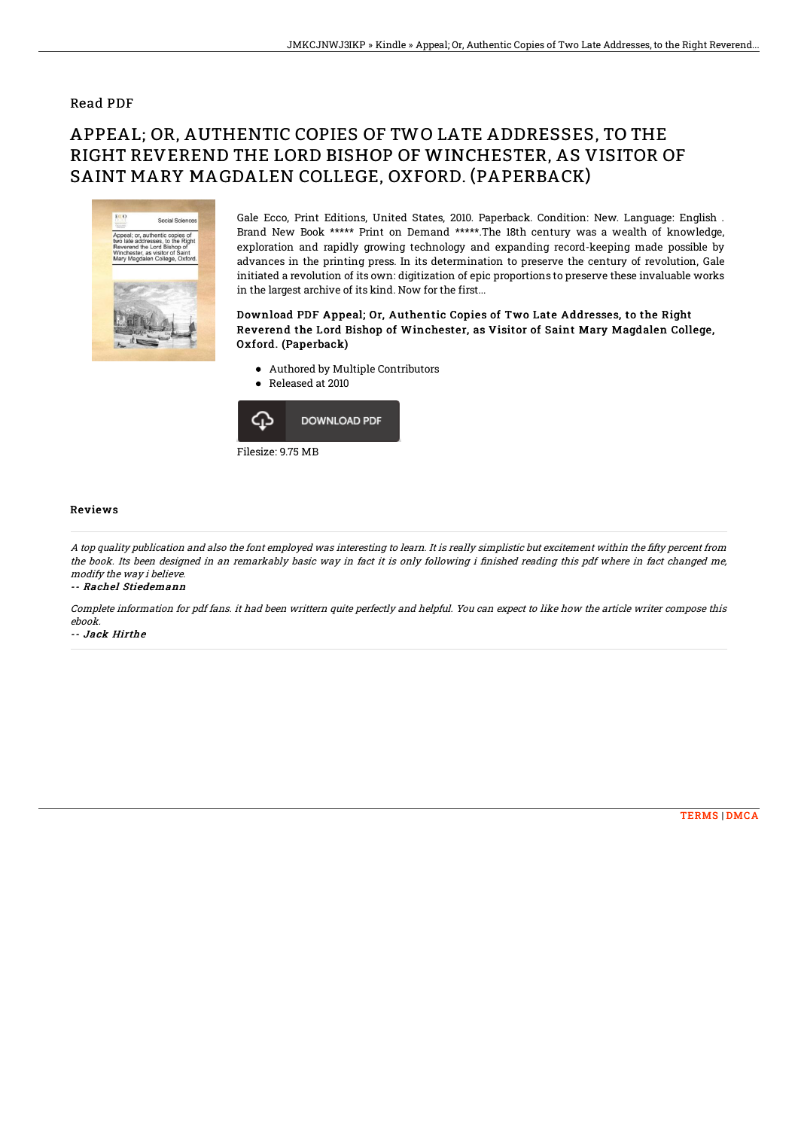### Read PDF

# APPEAL; OR, AUTHENTIC COPIES OF TWO LATE ADDRESSES, TO THE RIGHT REVEREND THE LORD BISHOP OF WINCHESTER, AS VISITOR OF SAINT MARY MAGDALEN COLLEGE, OXFORD. (PAPERBACK)



Gale Ecco, Print Editions, United States, 2010. Paperback. Condition: New. Language: English . Brand New Book \*\*\*\*\* Print on Demand \*\*\*\*\*.The 18th century was a wealth of knowledge, exploration and rapidly growing technology and expanding record-keeping made possible by advances in the printing press. In its determination to preserve the century of revolution, Gale initiated a revolution of its own: digitization of epic proportions to preserve these invaluable works in the largest archive of its kind. Now for the first...

#### Download PDF Appeal; Or, Authentic Copies of Two Late Addresses, to the Right Reverend the Lord Bishop of Winchester, as Visitor of Saint Mary Magdalen College, Oxford. (Paperback)

- Authored by Multiple Contributors
- Released at 2010  $\bullet$



#### Reviews

A top quality publication and also the font employed was interesting to learn. It is really simplistic but excitement within the fifty percent from the book. Its been designed in an remarkably basic way in fact it is only following i finished reading this pdf where in fact changed me, modify the way i believe.

-- Rachel Stiedemann

Complete information for pdf fans. it had been writtern quite perfectly and helpful. You can expect to like how the article writer compose this ebook.

-- Jack Hirthe